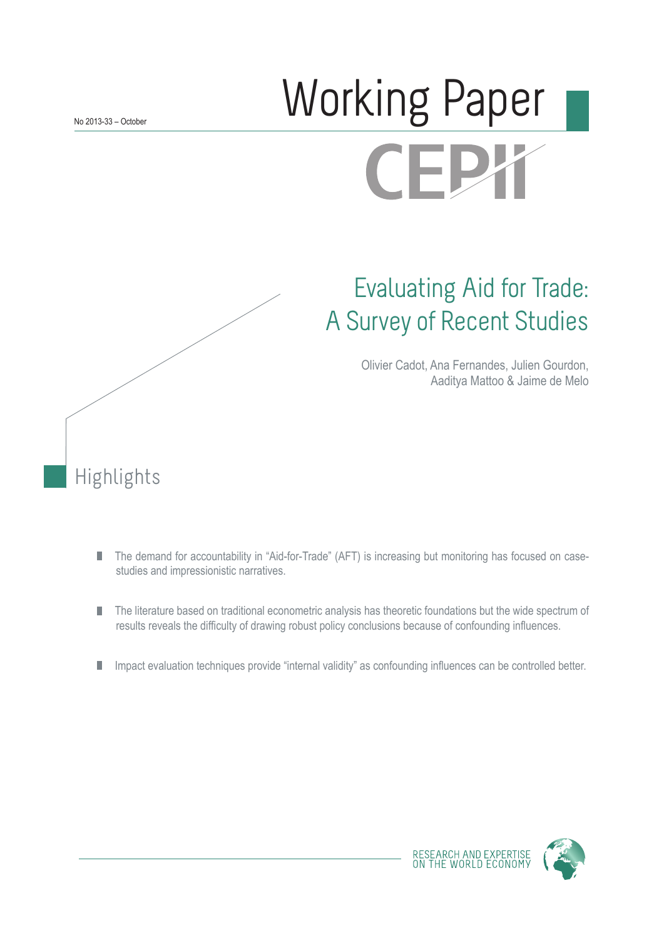# Working Paper **CEPX**

## Evaluating Aid for Trade: A Survey of Recent Studies

Olivier Cadot, Ana Fernandes, Julien Gourdon, Aaditya Mattoo & Jaime de Melo

Highlights

- The demand for accountability in "Aid-for-Trade" (AFT) is increasing but monitoring has focused on case-П studies and impressionistic narratives.
- The literature based on traditional econometric analysis has theoretic foundations but the wide spectrum of ш results reveals the difficulty of drawing robust policy conclusions because of confounding influences.
- Impact evaluation techniques provide "internal validity" as confounding influences can be controlled better. П



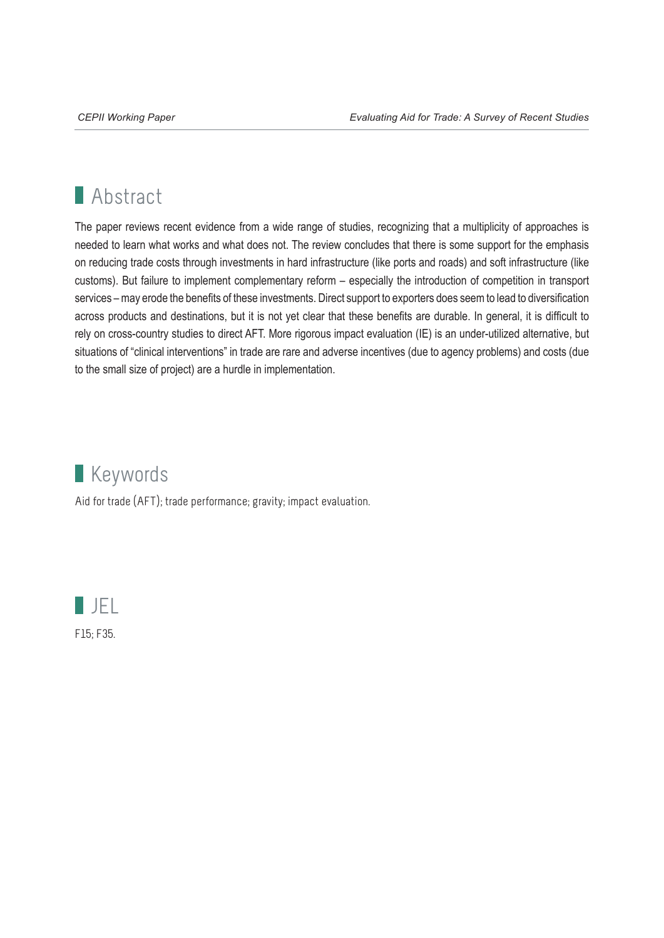### **Abstract**

The paper reviews recent evidence from a wide range of studies, recognizing that a multiplicity of approaches is needed to learn what works and what does not. The review concludes that there is some support for the emphasis on reducing trade costs through investments in hard infrastructure (like ports and roads) and soft infrastructure (like customs). But failure to implement complementary reform – especially the introduction of competition in transport services – may erode the benefits of these investments. Direct support to exporters does seem to lead to diversification across products and destinations, but it is not yet clear that these benefits are durable. In general, it is difficult to rely on cross-country studies to direct AFT. More rigorous impact evaluation (IE) is an under-utilized alternative, but situations of "clinical interventions" in trade are rare and adverse incentives (due to agency problems) and costs (due to the small size of project) are a hurdle in implementation.



Aid for trade (AFT); trade performance; gravity; impact evaluation.

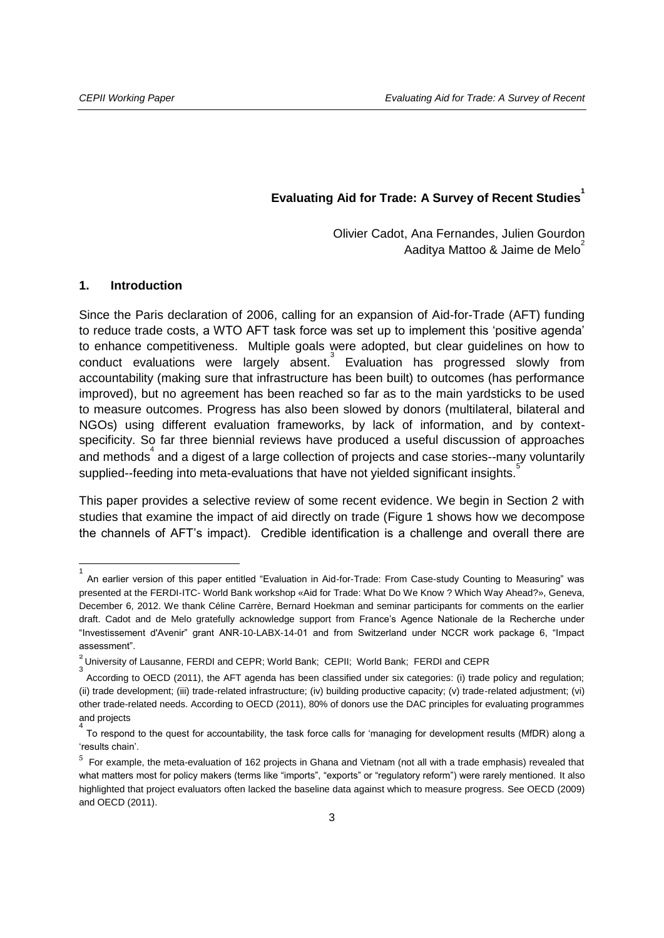#### **Evaluating Aid for Trade: A Survey of Recent Studies<sup>1</sup>**

Olivier Cadot, Ana Fernandes, Julien Gourdon Aaditya Mattoo & Jaime de Melo<sup>2</sup>

#### **1. Introduction**

Since the Paris declaration of 2006, calling for an expansion of Aid-for-Trade (AFT) funding to reduce trade costs, a WTO AFT task force was set up to implement this 'positive agenda' to enhance competitiveness. Multiple goals were adopted, but clear guidelines on how to conduct evaluations were largely absent.<sup>3</sup> Evaluation has progressed slowly from accountability (making sure that infrastructure has been built) to outcomes (has performance improved), but no agreement has been reached so far as to the main yardsticks to be used to measure outcomes. Progress has also been slowed by donors (multilateral, bilateral and NGOs) using different evaluation frameworks, by lack of information, and by contextspecificity. So far three biennial reviews have produced a useful discussion of approaches and methods<sup>4</sup> and a digest of a large collection of projects and case stories--many voluntarily supplied--feeding into meta-evaluations that have not yielded significant insights.<sup>5</sup>

This paper provides a selective review of some recent evidence. We begin in Section 2 with studies that examine the impact of aid directly on trade [\(Figure 1](#page-3-0) shows how we decompose the channels of AFT's impact). Credible identification is a challenge and overall there are

<sup>1</sup> An earlier version of this paper entitled "Evaluation in Aid-for-Trade: From Case-study Counting to Measuring" was presented at the FERDI-ITC- World Bank workshop «Aid for Trade: What Do We Know ? Which Way Ahead?», Geneva, December 6, 2012. We thank Céline Carrère, Bernard Hoekman and seminar participants for comments on the earlier draft. Cadot and de Melo gratefully acknowledge support from France's Agence Nationale de la Recherche under "Investissement d'Avenir" grant ANR-10-LABX-14-01 and from Switzerland under NCCR work package 6, "Impact assessment".

 $^{2}$  University of Lausanne, FERDI and CEPR; World Bank; CEPII; World Bank; FERDI and CEPR

<sup>3</sup> According to OECD (2011), the AFT agenda has been classified under six categories: (i) trade policy and regulation; (ii) trade development; (iii) trade-related infrastructure; (iv) building productive capacity; (v) trade-related adjustment; (vi) other trade-related needs. According to OECD (2011), 80% of donors use the DAC principles for evaluating programmes and projects 4

To respond to the quest for accountability, the task force calls for 'managing for development results (MfDR) along a 'results chain'.

<sup>&</sup>lt;sup>5</sup> For example, the meta-evaluation of 162 projects in Ghana and Vietnam (not all with a trade emphasis) revealed that what matters most for policy makers (terms like "imports", "exports" or "regulatory reform") were rarely mentioned. It also highlighted that project evaluators often lacked the baseline data against which to measure progress. See OECD (2009) and OECD (2011).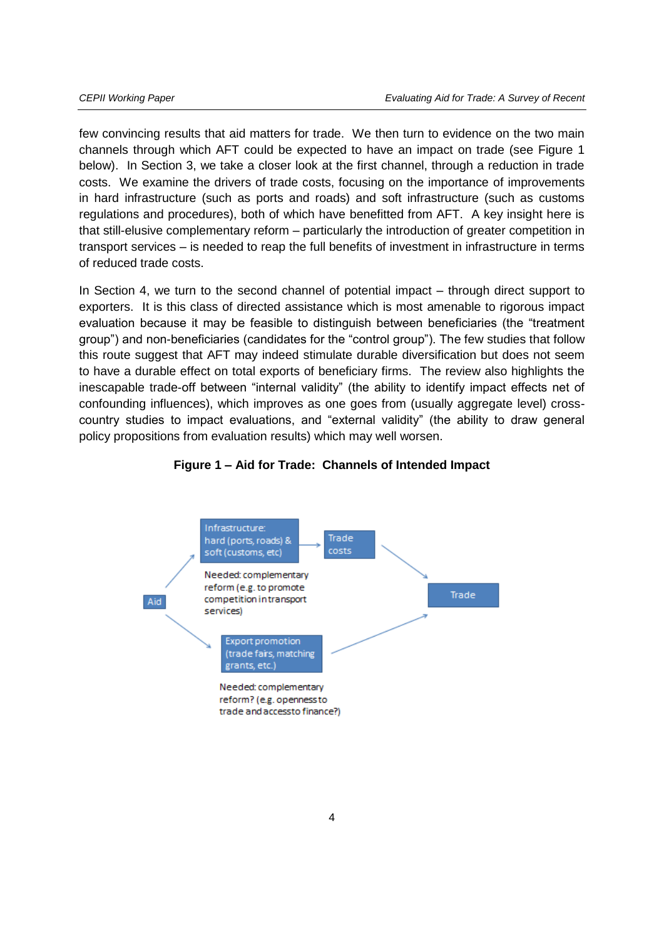few convincing results that aid matters for trade. We then turn to evidence on the two main channels through which AFT could be expected to have an impact on trade (see Figure 1 below). In Section 3, we take a closer look at the first channel, through a reduction in trade costs. We examine the drivers of trade costs, focusing on the importance of improvements in hard infrastructure (such as ports and roads) and soft infrastructure (such as customs regulations and procedures), both of which have benefitted from AFT. A key insight here is that still-elusive complementary reform – particularly the introduction of greater competition in transport services – is needed to reap the full benefits of investment in infrastructure in terms of reduced trade costs.

In Section 4, we turn to the second channel of potential impact – through direct support to exporters. It is this class of directed assistance which is most amenable to rigorous impact evaluation because it may be feasible to distinguish between beneficiaries (the "treatment group") and non-beneficiaries (candidates for the "control group"). The few studies that follow this route suggest that AFT may indeed stimulate durable diversification but does not seem to have a durable effect on total exports of beneficiary firms. The review also highlights the inescapable trade-off between "internal validity" (the ability to identify impact effects net of confounding influences), which improves as one goes from (usually aggregate level) crosscountry studies to impact evaluations, and "external validity" (the ability to draw general policy propositions from evaluation results) which may well worsen.

<span id="page-3-0"></span>

#### **Figure 1 – Aid for Trade: Channels of Intended Impact**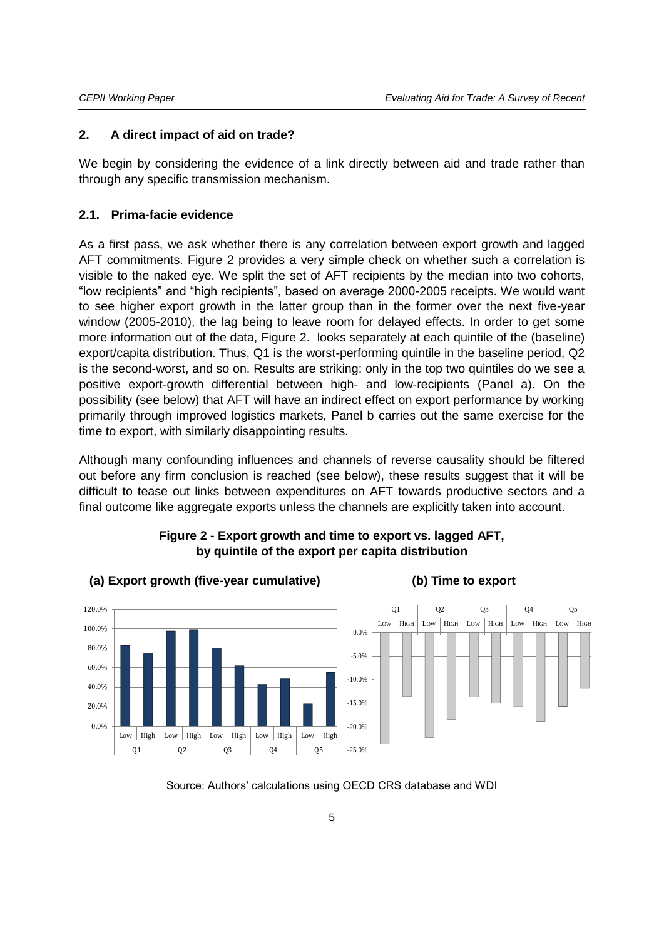#### **2. A direct impact of aid on trade?**

We begin by considering the evidence of a link directly between aid and trade rather than through any specific transmission mechanism.

#### **2.1. Prima-facie evidence**

As a first pass, we ask whether there is any correlation between export growth and lagged AFT commitments. [Figure 2](#page-4-0) provides a very simple check on whether such a correlation is visible to the naked eye. We split the set of AFT recipients by the median into two cohorts, "low recipients" and "high recipients", based on average 2000-2005 receipts. We would want to see higher export growth in the latter group than in the former over the next five-year window (2005-2010), the lag being to leave room for delayed effects. In order to get some more information out of the data, [Figure 2.](#page-4-0) looks separately at each quintile of the (baseline) export/capita distribution. Thus, Q1 is the worst-performing quintile in the baseline period, Q2 is the second-worst, and so on. Results are striking: only in the top two quintiles do we see a positive export-growth differential between high- and low-recipients (Panel a). On the possibility (see below) that AFT will have an indirect effect on export performance by working primarily through improved logistics markets, Panel b carries out the same exercise for the time to export, with similarly disappointing results.

Although many confounding influences and channels of reverse causality should be filtered out before any firm conclusion is reached (see below), these results suggest that it will be difficult to tease out links between expenditures on AFT towards productive sectors and a final outcome like aggregate exports unless the channels are explicitly taken into account.

<span id="page-4-0"></span>

#### **Figure 2 - Export growth and time to export vs. lagged AFT, by quintile of the export per capita distribution**

Source: Authors' calculations using OECD CRS database and WDI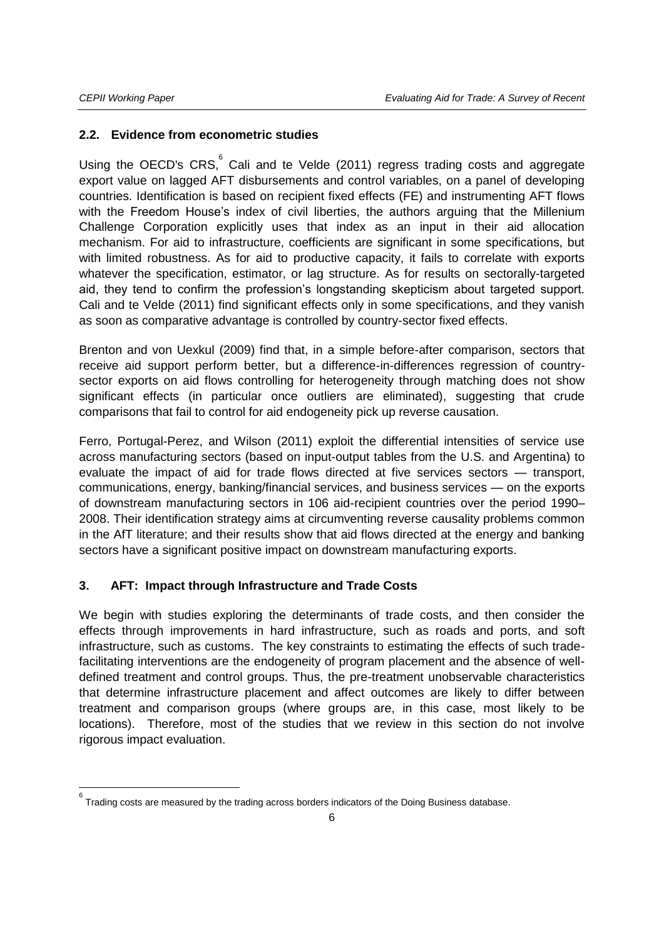j

#### **2.2. Evidence from econometric studies**

Using the OECD's CRS,  $\degree$  Cali and te Velde (2011) regress trading costs and aggregate export value on lagged AFT disbursements and control variables, on a panel of developing countries. Identification is based on recipient fixed effects (FE) and instrumenting AFT flows with the Freedom House's index of civil liberties, the authors arguing that the Millenium Challenge Corporation explicitly uses that index as an input in their aid allocation mechanism. For aid to infrastructure, coefficients are significant in some specifications, but with limited robustness. As for aid to productive capacity, it fails to correlate with exports whatever the specification, estimator, or lag structure. As for results on sectorally-targeted aid, they tend to confirm the profession's longstanding skepticism about targeted support. Cali and te Velde (2011) find significant effects only in some specifications, and they vanish as soon as comparative advantage is controlled by country-sector fixed effects.

Brenton and von Uexkul (2009) find that, in a simple before-after comparison, sectors that receive aid support perform better, but a difference-in-differences regression of countrysector exports on aid flows controlling for heterogeneity through matching does not show significant effects (in particular once outliers are eliminated), suggesting that crude comparisons that fail to control for aid endogeneity pick up reverse causation.

Ferro, Portugal-Perez, and Wilson (2011) exploit the differential intensities of service use across manufacturing sectors (based on input-output tables from the U.S. and Argentina) to evaluate the impact of aid for trade flows directed at five services sectors — transport, communications, energy, banking/financial services, and business services — on the exports of downstream manufacturing sectors in 106 aid-recipient countries over the period 1990– 2008. Their identification strategy aims at circumventing reverse causality problems common in the AfT literature; and their results show that aid flows directed at the energy and banking sectors have a significant positive impact on downstream manufacturing exports.

#### **3. AFT: Impact through Infrastructure and Trade Costs**

We begin with studies exploring the determinants of trade costs, and then consider the effects through improvements in hard infrastructure, such as roads and ports, and soft infrastructure, such as customs. The key constraints to estimating the effects of such tradefacilitating interventions are the endogeneity of program placement and the absence of welldefined treatment and control groups. Thus, the pre-treatment unobservable characteristics that determine infrastructure placement and affect outcomes are likely to differ between treatment and comparison groups (where groups are, in this case, most likely to be locations). Therefore, most of the studies that we review in this section do not involve rigorous impact evaluation.

<sup>6</sup> Trading costs are measured by the trading across borders indicators of the Doing Business database.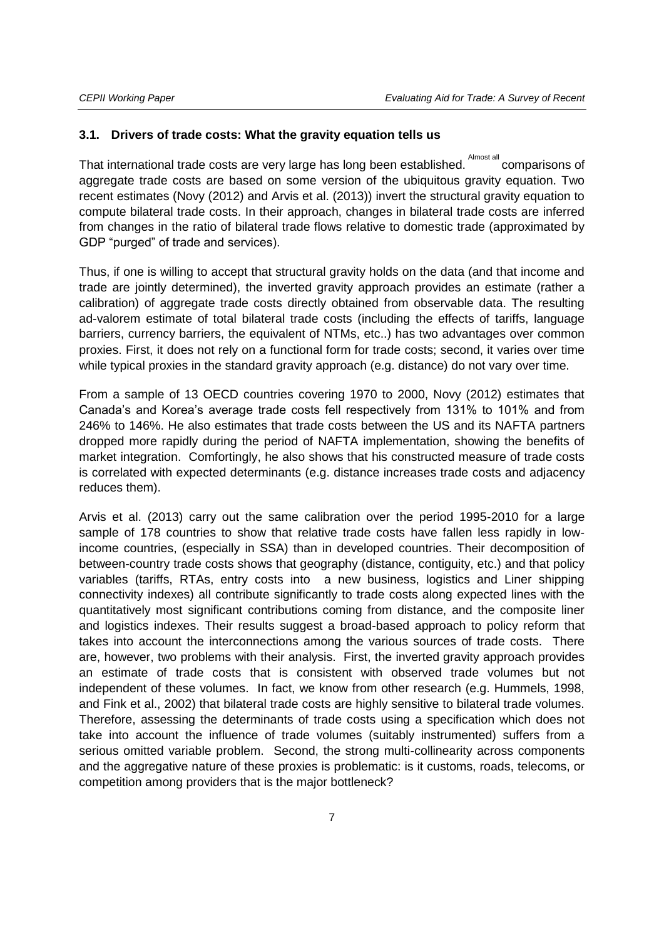#### **3.1. Drivers of trade costs: What the gravity equation tells us**

That international trade costs are very large has long been established.  $^\text{Almost all}$  comparisons of aggregate trade costs are based on some version of the ubiquitous gravity equation. Two recent estimates (Novy (2012) and Arvis et al. (2013)) invert the structural gravity equation to compute bilateral trade costs. In their approach, changes in bilateral trade costs are inferred from changes in the ratio of bilateral trade flows relative to domestic trade (approximated by GDP "purged" of trade and services).

Thus, if one is willing to accept that structural gravity holds on the data (and that income and trade are jointly determined), the inverted gravity approach provides an estimate (rather a calibration) of aggregate trade costs directly obtained from observable data. The resulting ad-valorem estimate of total bilateral trade costs (including the effects of tariffs, language barriers, currency barriers, the equivalent of NTMs, etc..) has two advantages over common proxies. First, it does not rely on a functional form for trade costs; second, it varies over time while typical proxies in the standard gravity approach (e.g. distance) do not vary over time.

From a sample of 13 OECD countries covering 1970 to 2000, Novy (2012) estimates that Canada's and Korea's average trade costs fell respectively from 131% to 101% and from 246% to 146%. He also estimates that trade costs between the US and its NAFTA partners dropped more rapidly during the period of NAFTA implementation, showing the benefits of market integration. Comfortingly, he also shows that his constructed measure of trade costs is correlated with expected determinants (e.g. distance increases trade costs and adjacency reduces them).

Arvis et al. (2013) carry out the same calibration over the period 1995-2010 for a large sample of 178 countries to show that relative trade costs have fallen less rapidly in lowincome countries, (especially in SSA) than in developed countries. Their decomposition of between-country trade costs shows that geography (distance, contiguity, etc.) and that policy variables (tariffs, RTAs, entry costs into a new business, logistics and Liner shipping connectivity indexes) all contribute significantly to trade costs along expected lines with the quantitatively most significant contributions coming from distance, and the composite liner and logistics indexes. Their results suggest a broad-based approach to policy reform that takes into account the interconnections among the various sources of trade costs. There are, however, two problems with their analysis. First, the inverted gravity approach provides an estimate of trade costs that is consistent with observed trade volumes but not independent of these volumes. In fact, we know from other research (e.g. Hummels, 1998, and Fink et al., 2002) that bilateral trade costs are highly sensitive to bilateral trade volumes. Therefore, assessing the determinants of trade costs using a specification which does not take into account the influence of trade volumes (suitably instrumented) suffers from a serious omitted variable problem. Second, the strong multi-collinearity across components and the aggregative nature of these proxies is problematic: is it customs, roads, telecoms, or competition among providers that is the major bottleneck?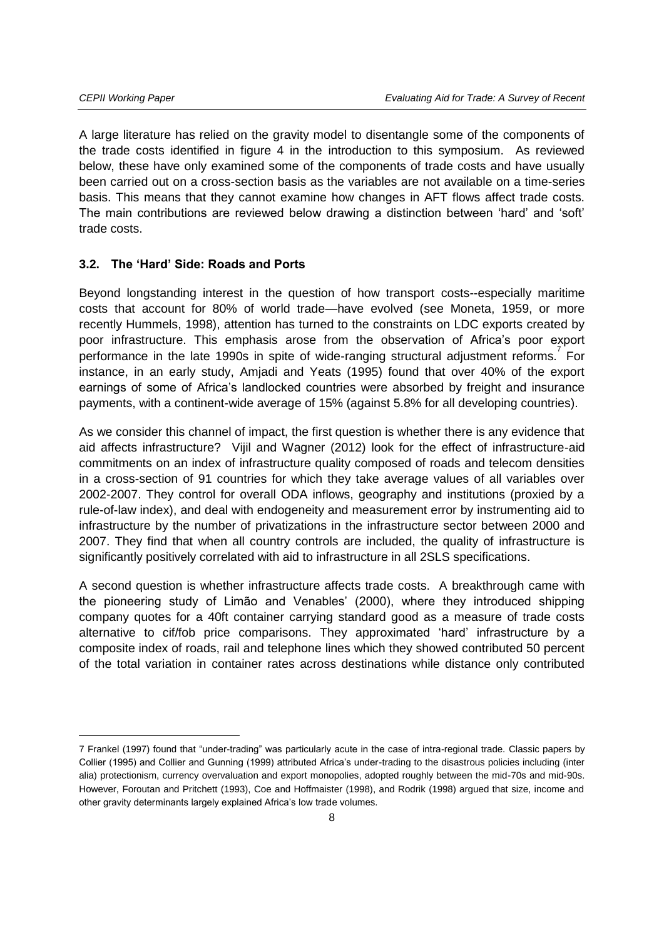A large literature has relied on the gravity model to disentangle some of the components of the trade costs identified in figure 4 in the introduction to this symposium. As reviewed below, these have only examined some of the components of trade costs and have usually been carried out on a cross-section basis as the variables are not available on a time-series basis. This means that they cannot examine how changes in AFT flows affect trade costs. The main contributions are reviewed below drawing a distinction between 'hard' and 'soft' trade costs.

#### **3.2. The 'Hard' Side: Roads and Ports**

Beyond longstanding interest in the question of how transport costs--especially maritime costs that account for 80% of world trade—have evolved (see Moneta, 1959, or more recently Hummels, 1998), attention has turned to the constraints on LDC exports created by poor infrastructure. This emphasis arose from the observation of Africa's poor export .<br>performance in the late 1990s in spite of wide-ranging structural adjustment reforms. For instance, in an early study, Amjadi and Yeats (1995) found that over 40% of the export earnings of some of Africa's landlocked countries were absorbed by freight and insurance payments, with a continent-wide average of 15% (against 5.8% for all developing countries).

As we consider this channel of impact, the first question is whether there is any evidence that aid affects infrastructure? Vijil and Wagner (2012) look for the effect of infrastructure-aid commitments on an index of infrastructure quality composed of roads and telecom densities in a cross-section of 91 countries for which they take average values of all variables over 2002-2007. They control for overall ODA inflows, geography and institutions (proxied by a rule-of-law index), and deal with endogeneity and measurement error by instrumenting aid to infrastructure by the number of privatizations in the infrastructure sector between 2000 and 2007. They find that when all country controls are included, the quality of infrastructure is significantly positively correlated with aid to infrastructure in all 2SLS specifications.

A second question is whether infrastructure affects trade costs. A breakthrough came with the pioneering study of Limão and Venables' (2000), where they introduced shipping company quotes for a 40ft container carrying standard good as a measure of trade costs alternative to cif/fob price comparisons. They approximated 'hard' infrastructure by a composite index of roads, rail and telephone lines which they showed contributed 50 percent of the total variation in container rates across destinations while distance only contributed

<sup>7</sup> Frankel (1997) found that "under-trading" was particularly acute in the case of intra-regional trade. Classic papers by Collier (1995) and Collier and Gunning (1999) attributed Africa's under-trading to the disastrous policies including (inter alia) protectionism, currency overvaluation and export monopolies, adopted roughly between the mid-70s and mid-90s. However, Foroutan and Pritchett (1993), Coe and Hoffmaister (1998), and Rodrik (1998) argued that size, income and other gravity determinants largely explained Africa's low trade volumes.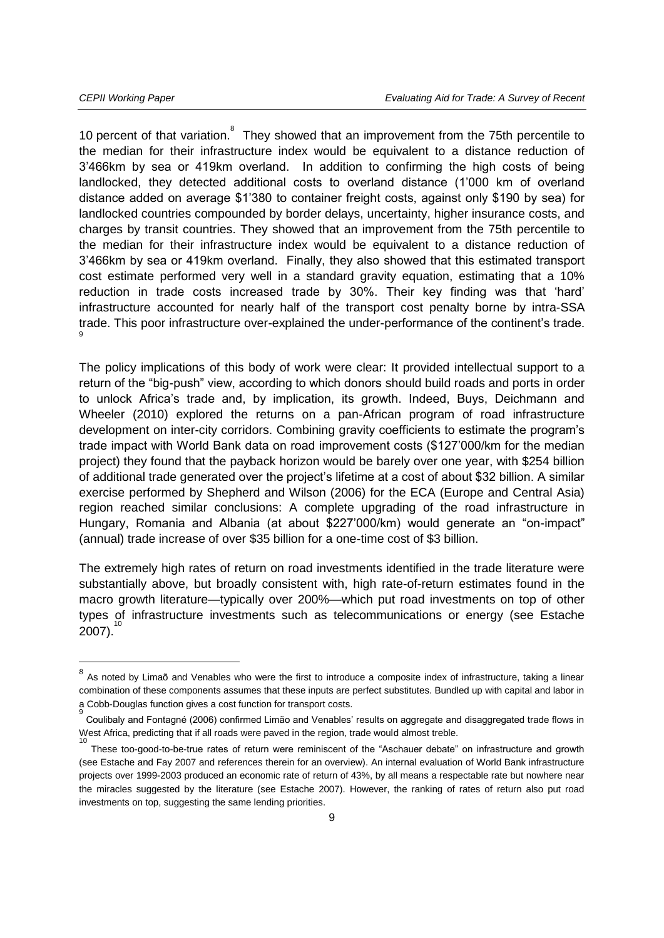10 percent of that variation.<sup>8</sup> They showed that an improvement from the 75th percentile to the median for their infrastructure index would be equivalent to a distance reduction of 3'466km by sea or 419km overland. In addition to confirming the high costs of being landlocked, they detected additional costs to overland distance (1'000 km of overland distance added on average \$1'380 to container freight costs, against only \$190 by sea) for landlocked countries compounded by border delays, uncertainty, higher insurance costs, and charges by transit countries. They showed that an improvement from the 75th percentile to the median for their infrastructure index would be equivalent to a distance reduction of 3'466km by sea or 419km overland. Finally, they also showed that this estimated transport cost estimate performed very well in a standard gravity equation, estimating that a 10% reduction in trade costs increased trade by 30%. Their key finding was that 'hard' infrastructure accounted for nearly half of the transport cost penalty borne by intra-SSA trade. This poor infrastructure over-explained the under-performance of the continent's trade. 9

The policy implications of this body of work were clear: It provided intellectual support to a return of the "big-push" view, according to which donors should build roads and ports in order to unlock Africa's trade and, by implication, its growth. Indeed, Buys, Deichmann and Wheeler (2010) explored the returns on a pan-African program of road infrastructure development on inter-city corridors. Combining gravity coefficients to estimate the program's trade impact with World Bank data on road improvement costs (\$127'000/km for the median project) they found that the payback horizon would be barely over one year, with \$254 billion of additional trade generated over the project's lifetime at a cost of about \$32 billion. A similar exercise performed by Shepherd and Wilson (2006) for the ECA (Europe and Central Asia) region reached similar conclusions: A complete upgrading of the road infrastructure in Hungary, Romania and Albania (at about \$227'000/km) would generate an "on-impact" (annual) trade increase of over \$35 billion for a one-time cost of \$3 billion.

The extremely high rates of return on road investments identified in the trade literature were substantially above, but broadly consistent with, high rate-of-return estimates found in the macro growth literature—typically over 200%—which put road investments on top of other types of infrastructure investments such as telecommunications or energy (see Estache  $2007$ ).

 $^8$  As noted by Limaõ and Venables who were the first to introduce a composite index of infrastructure, taking a linear combination of these components assumes that these inputs are perfect substitutes. Bundled up with capital and labor in a Cobb-Douglas function gives a cost function for transport costs. 9

Coulibaly and Fontagné (2006) confirmed Limão and Venables' results on aggregate and disaggregated trade flows in West Africa, predicting that if all roads were paved in the region, trade would almost treble. 10

These too-good-to-be-true rates of return were reminiscent of the "Aschauer debate" on infrastructure and growth (see Estache and Fay 2007 and references therein for an overview). An internal evaluation of World Bank infrastructure projects over 1999-2003 produced an economic rate of return of 43%, by all means a respectable rate but nowhere near the miracles suggested by the literature (see Estache 2007). However, the ranking of rates of return also put road investments on top, suggesting the same lending priorities.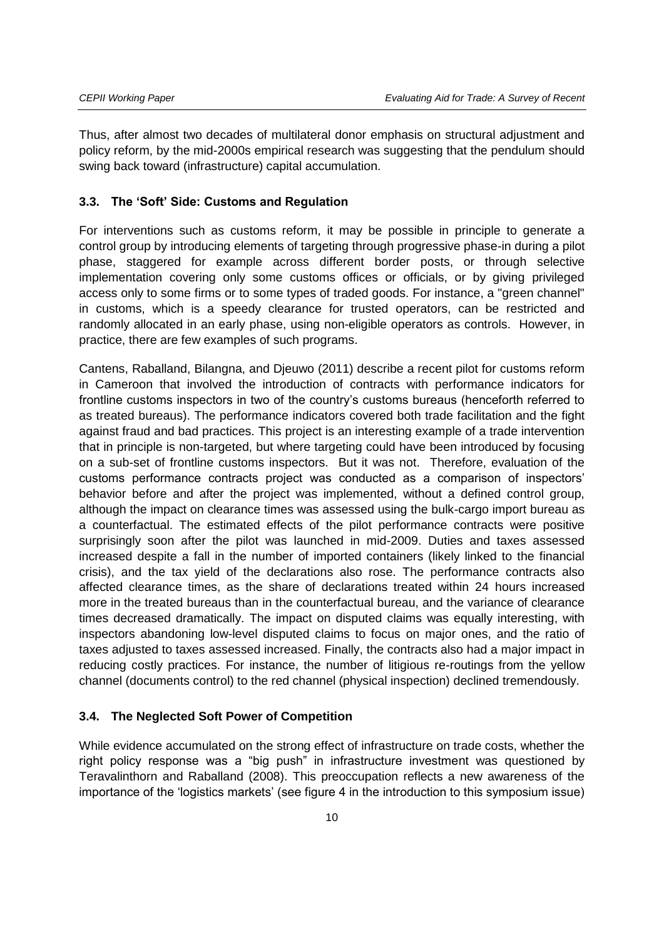Thus, after almost two decades of multilateral donor emphasis on structural adjustment and policy reform, by the mid-2000s empirical research was suggesting that the pendulum should swing back toward (infrastructure) capital accumulation.

#### **3.3. The 'Soft' Side: Customs and Regulation**

For interventions such as customs reform, it may be possible in principle to generate a control group by introducing elements of targeting through progressive phase-in during a pilot phase, staggered for example across different border posts, or through selective implementation covering only some customs offices or officials, or by giving privileged access only to some firms or to some types of traded goods. For instance, a "green channel" in customs, which is a speedy clearance for trusted operators, can be restricted and randomly allocated in an early phase, using non-eligible operators as controls. However, in practice, there are few examples of such programs.

Cantens, Raballand, Bilangna, and Djeuwo (2011) describe a recent pilot for customs reform in Cameroon that involved the introduction of contracts with performance indicators for frontline customs inspectors in two of the country's customs bureaus (henceforth referred to as treated bureaus). The performance indicators covered both trade facilitation and the fight against fraud and bad practices. This project is an interesting example of a trade intervention that in principle is non-targeted, but where targeting could have been introduced by focusing on a sub-set of frontline customs inspectors. But it was not. Therefore, evaluation of the customs performance contracts project was conducted as a comparison of inspectors' behavior before and after the project was implemented, without a defined control group, although the impact on clearance times was assessed using the bulk-cargo import bureau as a counterfactual. The estimated effects of the pilot performance contracts were positive surprisingly soon after the pilot was launched in mid-2009. Duties and taxes assessed increased despite a fall in the number of imported containers (likely linked to the financial crisis), and the tax yield of the declarations also rose. The performance contracts also affected clearance times, as the share of declarations treated within 24 hours increased more in the treated bureaus than in the counterfactual bureau, and the variance of clearance times decreased dramatically. The impact on disputed claims was equally interesting, with inspectors abandoning low-level disputed claims to focus on major ones, and the ratio of taxes adjusted to taxes assessed increased. Finally, the contracts also had a major impact in reducing costly practices. For instance, the number of litigious re-routings from the yellow channel (documents control) to the red channel (physical inspection) declined tremendously.

#### **3.4. The Neglected Soft Power of Competition**

While evidence accumulated on the strong effect of infrastructure on trade costs, whether the right policy response was a "big push" in infrastructure investment was questioned by Teravalinthorn and Raballand (2008). This preoccupation reflects a new awareness of the importance of the 'logistics markets' (see figure 4 in the introduction to this symposium issue)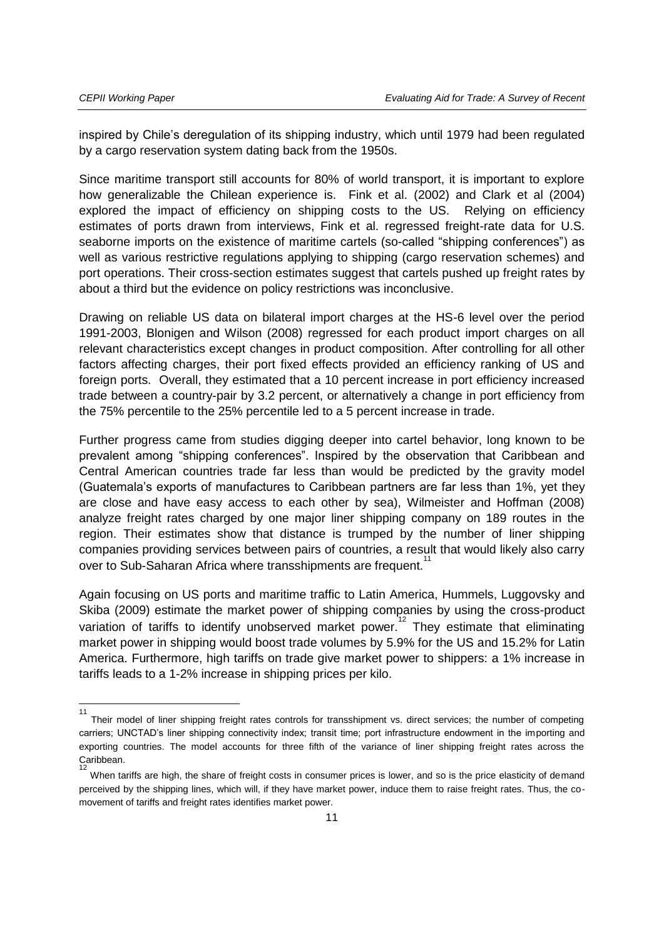$\overline{\phantom{a}}$ 

inspired by Chile's deregulation of its shipping industry, which until 1979 had been regulated by a cargo reservation system dating back from the 1950s.

Since maritime transport still accounts for 80% of world transport, it is important to explore how generalizable the Chilean experience is. Fink et al. (2002) and Clark et al (2004) explored the impact of efficiency on shipping costs to the US. Relying on efficiency estimates of ports drawn from interviews, Fink et al. regressed freight-rate data for U.S. seaborne imports on the existence of maritime cartels (so-called "shipping conferences") as well as various restrictive regulations applying to shipping (cargo reservation schemes) and port operations. Their cross-section estimates suggest that cartels pushed up freight rates by about a third but the evidence on policy restrictions was inconclusive.

Drawing on reliable US data on bilateral import charges at the HS-6 level over the period 1991-2003, Blonigen and Wilson (2008) regressed for each product import charges on all relevant characteristics except changes in product composition. After controlling for all other factors affecting charges, their port fixed effects provided an efficiency ranking of US and foreign ports. Overall, they estimated that a 10 percent increase in port efficiency increased trade between a country-pair by 3.2 percent, or alternatively a change in port efficiency from the 75% percentile to the 25% percentile led to a 5 percent increase in trade.

Further progress came from studies digging deeper into cartel behavior, long known to be prevalent among "shipping conferences". Inspired by the observation that Caribbean and Central American countries trade far less than would be predicted by the gravity model (Guatemala's exports of manufactures to Caribbean partners are far less than 1%, yet they are close and have easy access to each other by sea), Wilmeister and Hoffman (2008) analyze freight rates charged by one major liner shipping company on 189 routes in the region. Their estimates show that distance is trumped by the number of liner shipping companies providing services between pairs of countries, a result that would likely also carry over to Sub-Saharan Africa where transshipments are frequent.<sup>11</sup>

Again focusing on US ports and maritime traffic to Latin America, Hummels, Luggovsky and Skiba (2009) estimate the market power of shipping companies by using the cross-product variation of tariffs to identify unobserved market power.<sup>12</sup> They estimate that eliminating market power in shipping would boost trade volumes by 5.9% for the US and 15.2% for Latin America. Furthermore, high tariffs on trade give market power to shippers: a 1% increase in tariffs leads to a 1-2% increase in shipping prices per kilo.

<sup>11</sup> Their model of liner shipping freight rates controls for transshipment vs. direct services; the number of competing carriers; UNCTAD's liner shipping connectivity index; transit time; port infrastructure endowment in the importing and exporting countries. The model accounts for three fifth of the variance of liner shipping freight rates across the Caribbean. 12

When tariffs are high, the share of freight costs in consumer prices is lower, and so is the price elasticity of demand perceived by the shipping lines, which will, if they have market power, induce them to raise freight rates. Thus, the comovement of tariffs and freight rates identifies market power.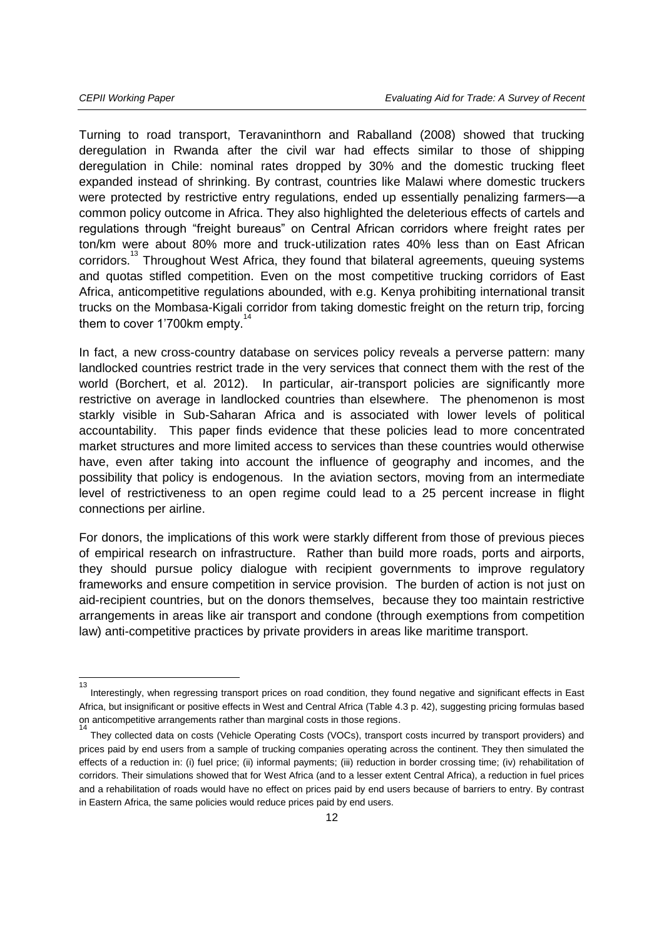Turning to road transport, Teravaninthorn and Raballand (2008) showed that trucking deregulation in Rwanda after the civil war had effects similar to those of shipping deregulation in Chile: nominal rates dropped by 30% and the domestic trucking fleet expanded instead of shrinking. By contrast, countries like Malawi where domestic truckers were protected by restrictive entry regulations, ended up essentially penalizing farmers—a common policy outcome in Africa. They also highlighted the deleterious effects of cartels and regulations through "freight bureaus" on Central African corridors where freight rates per ton/km were about 80% more and truck-utilization rates 40% less than on East African corridors.<sup>13</sup> Throughout West Africa, they found that bilateral agreements, queuing systems and quotas stifled competition. Even on the most competitive trucking corridors of East Africa, anticompetitive regulations abounded, with e.g. Kenya prohibiting international transit trucks on the Mombasa-Kigali corridor from taking domestic freight on the return trip, forcing them to cover 1'700km empty.<sup>11</sup>

In fact, a new cross-country database on services policy reveals a perverse pattern: many landlocked countries restrict trade in the very services that connect them with the rest of the world (Borchert, et al. 2012). In particular, air-transport policies are significantly more restrictive on average in landlocked countries than elsewhere. The phenomenon is most starkly visible in Sub-Saharan Africa and is associated with lower levels of political accountability. This paper finds evidence that these policies lead to more concentrated market structures and more limited access to services than these countries would otherwise have, even after taking into account the influence of geography and incomes, and the possibility that policy is endogenous. In the aviation sectors, moving from an intermediate level of restrictiveness to an open regime could lead to a 25 percent increase in flight connections per airline.

For donors, the implications of this work were starkly different from those of previous pieces of empirical research on infrastructure. Rather than build more roads, ports and airports, they should pursue policy dialogue with recipient governments to improve regulatory frameworks and ensure competition in service provision. The burden of action is not just on aid-recipient countries, but on the donors themselves, because they too maintain restrictive arrangements in areas like air transport and condone (through exemptions from competition law) anti-competitive practices by private providers in areas like maritime transport.

 $\frac{1}{13}$ Interestingly, when regressing transport prices on road condition, they found negative and significant effects in East Africa, but insignificant or positive effects in West and Central Africa (Table 4.3 p. 42), suggesting pricing formulas based on anticompetitive arrangements rather than marginal costs in those regions. 14

They collected data on costs (Vehicle Operating Costs (VOCs), transport costs incurred by transport providers) and prices paid by end users from a sample of trucking companies operating across the continent. They then simulated the effects of a reduction in: (i) fuel price; (ii) informal payments; (iii) reduction in border crossing time; (iv) rehabilitation of corridors. Their simulations showed that for West Africa (and to a lesser extent Central Africa), a reduction in fuel prices and a rehabilitation of roads would have no effect on prices paid by end users because of barriers to entry. By contrast in Eastern Africa, the same policies would reduce prices paid by end users.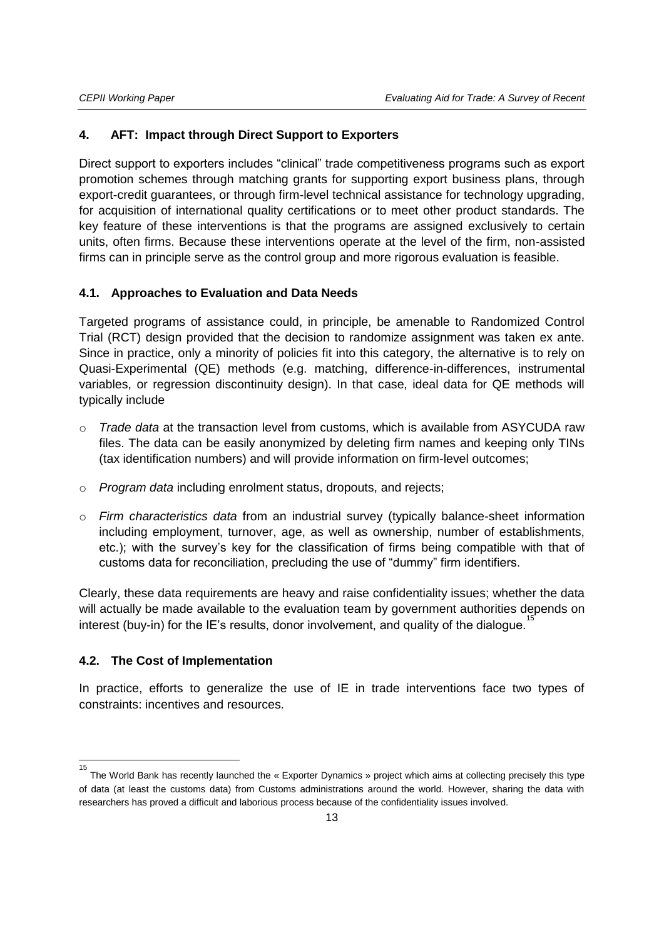#### **4. AFT: Impact through Direct Support to Exporters**

Direct support to exporters includes "clinical" trade competitiveness programs such as export promotion schemes through matching grants for supporting export business plans, through export-credit guarantees, or through firm-level technical assistance for technology upgrading, for acquisition of international quality certifications or to meet other product standards. The key feature of these interventions is that the programs are assigned exclusively to certain units, often firms. Because these interventions operate at the level of the firm, non-assisted firms can in principle serve as the control group and more rigorous evaluation is feasible.

#### **4.1. Approaches to Evaluation and Data Needs**

Targeted programs of assistance could, in principle, be amenable to Randomized Control Trial (RCT) design provided that the decision to randomize assignment was taken ex ante. Since in practice, only a minority of policies fit into this category, the alternative is to rely on Quasi-Experimental (QE) methods (e.g. matching, difference-in-differences, instrumental variables, or regression discontinuity design). In that case, ideal data for QE methods will typically include

- o *Trade data* at the transaction level from customs, which is available from ASYCUDA raw files. The data can be easily anonymized by deleting firm names and keeping only TINs (tax identification numbers) and will provide information on firm-level outcomes;
- o *Program data* including enrolment status, dropouts, and rejects;
- o *Firm characteristics data* from an industrial survey (typically balance-sheet information including employment, turnover, age, as well as ownership, number of establishments, etc.); with the survey's key for the classification of firms being compatible with that of customs data for reconciliation, precluding the use of "dummy" firm identifiers.

Clearly, these data requirements are heavy and raise confidentiality issues; whether the data will actually be made available to the evaluation team by government authorities depends on interest (buy-in) for the IE's results, donor involvement, and quality of the dialogue.

#### **4.2. The Cost of Implementation**

 $\overline{\phantom{a}}$ 

In practice, efforts to generalize the use of IE in trade interventions face two types of constraints: incentives and resources.

<sup>15</sup> The World Bank has recently launched the « Exporter Dynamics » project which aims at collecting precisely this type of data (at least the customs data) from Customs administrations around the world. However, sharing the data with researchers has proved a difficult and laborious process because of the confidentiality issues involved.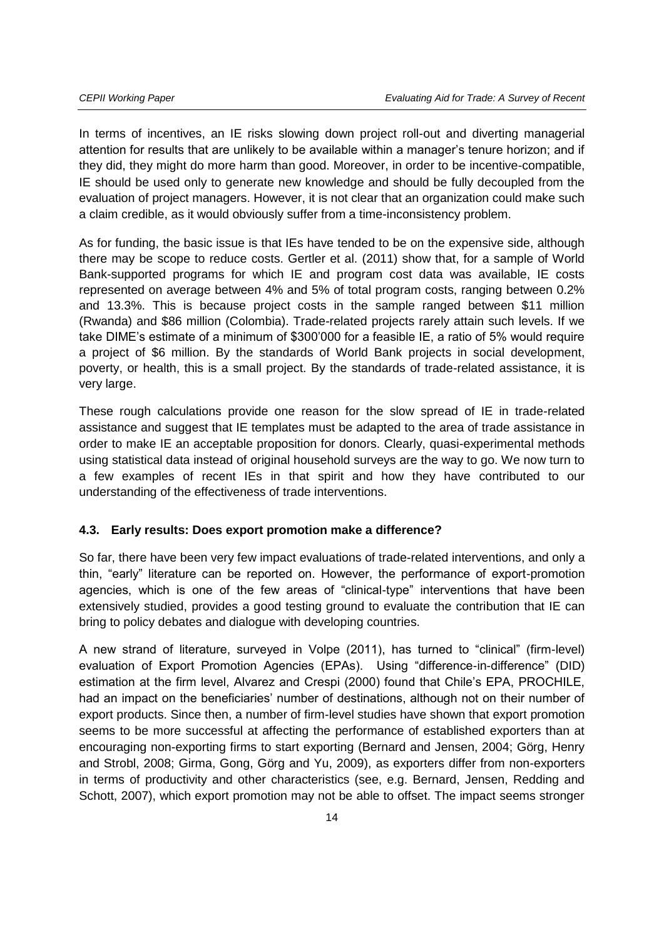In terms of incentives, an IE risks slowing down project roll-out and diverting managerial attention for results that are unlikely to be available within a manager's tenure horizon; and if they did, they might do more harm than good. Moreover, in order to be incentive-compatible, IE should be used only to generate new knowledge and should be fully decoupled from the evaluation of project managers. However, it is not clear that an organization could make such a claim credible, as it would obviously suffer from a time-inconsistency problem.

As for funding, the basic issue is that IEs have tended to be on the expensive side, although there may be scope to reduce costs. Gertler et al. (2011) show that, for a sample of World Bank-supported programs for which IE and program cost data was available, IE costs represented on average between 4% and 5% of total program costs, ranging between 0.2% and 13.3%. This is because project costs in the sample ranged between \$11 million (Rwanda) and \$86 million (Colombia). Trade-related projects rarely attain such levels. If we take DIME's estimate of a minimum of \$300'000 for a feasible IE, a ratio of 5% would require a project of \$6 million. By the standards of World Bank projects in social development, poverty, or health, this is a small project. By the standards of trade-related assistance, it is very large.

These rough calculations provide one reason for the slow spread of IE in trade-related assistance and suggest that IE templates must be adapted to the area of trade assistance in order to make IE an acceptable proposition for donors. Clearly, quasi-experimental methods using statistical data instead of original household surveys are the way to go. We now turn to a few examples of recent IEs in that spirit and how they have contributed to our understanding of the effectiveness of trade interventions.

#### **4.3. Early results: Does export promotion make a difference?**

So far, there have been very few impact evaluations of trade-related interventions, and only a thin, "early" literature can be reported on. However, the performance of export-promotion agencies, which is one of the few areas of "clinical-type" interventions that have been extensively studied, provides a good testing ground to evaluate the contribution that IE can bring to policy debates and dialogue with developing countries.

A new strand of literature, surveyed in Volpe (2011), has turned to "clinical" (firm-level) evaluation of Export Promotion Agencies (EPAs). Using "difference-in-difference" (DID) estimation at the firm level, Alvarez and Crespi (2000) found that Chile's EPA, PROCHILE, had an impact on the beneficiaries' number of destinations, although not on their number of export products. Since then, a number of firm-level studies have shown that export promotion seems to be more successful at affecting the performance of established exporters than at encouraging non-exporting firms to start exporting (Bernard and Jensen, 2004; Görg, Henry and Strobl, 2008; Girma, Gong, Görg and Yu, 2009), as exporters differ from non-exporters in terms of productivity and other characteristics (see, e.g. Bernard, Jensen, Redding and Schott, 2007), which export promotion may not be able to offset. The impact seems stronger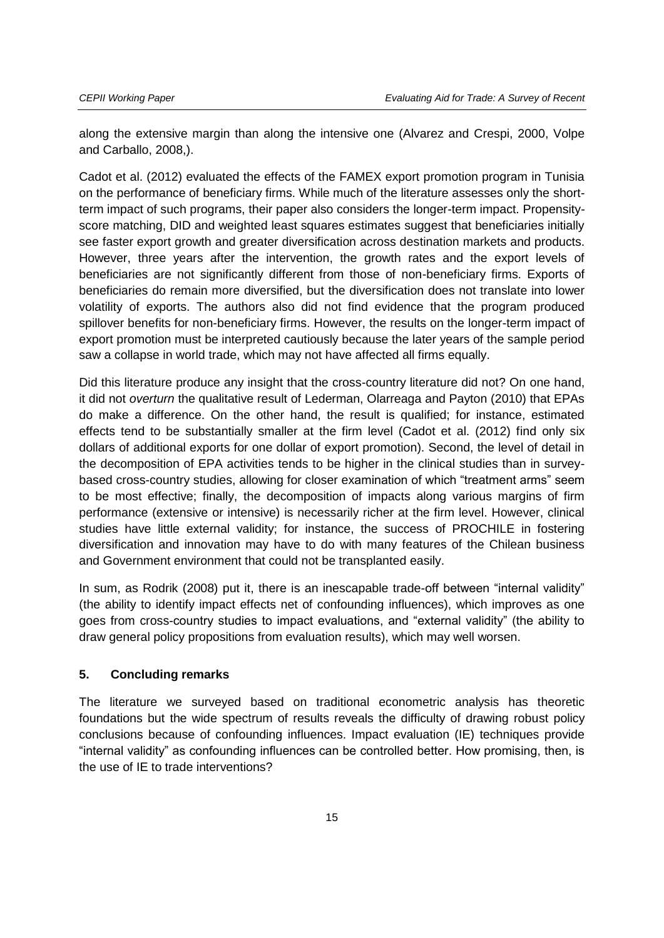along the extensive margin than along the intensive one (Alvarez and Crespi, 2000, Volpe and Carballo, 2008,).

Cadot et al. (2012) evaluated the effects of the FAMEX export promotion program in Tunisia on the performance of beneficiary firms. While much of the literature assesses only the shortterm impact of such programs, their paper also considers the longer-term impact. Propensityscore matching, DID and weighted least squares estimates suggest that beneficiaries initially see faster export growth and greater diversification across destination markets and products. However, three years after the intervention, the growth rates and the export levels of beneficiaries are not significantly different from those of non-beneficiary firms. Exports of beneficiaries do remain more diversified, but the diversification does not translate into lower volatility of exports. The authors also did not find evidence that the program produced spillover benefits for non-beneficiary firms. However, the results on the longer-term impact of export promotion must be interpreted cautiously because the later years of the sample period saw a collapse in world trade, which may not have affected all firms equally.

Did this literature produce any insight that the cross-country literature did not? On one hand, it did not *overturn* the qualitative result of Lederman, Olarreaga and Payton (2010) that EPAs do make a difference. On the other hand, the result is qualified; for instance, estimated effects tend to be substantially smaller at the firm level (Cadot et al. (2012) find only six dollars of additional exports for one dollar of export promotion). Second, the level of detail in the decomposition of EPA activities tends to be higher in the clinical studies than in surveybased cross-country studies, allowing for closer examination of which "treatment arms" seem to be most effective; finally, the decomposition of impacts along various margins of firm performance (extensive or intensive) is necessarily richer at the firm level. However, clinical studies have little external validity; for instance, the success of PROCHILE in fostering diversification and innovation may have to do with many features of the Chilean business and Government environment that could not be transplanted easily.

In sum, as Rodrik (2008) put it, there is an inescapable trade-off between "internal validity" (the ability to identify impact effects net of confounding influences), which improves as one goes from cross-country studies to impact evaluations, and "external validity" (the ability to draw general policy propositions from evaluation results), which may well worsen.

#### **5. Concluding remarks**

The literature we surveyed based on traditional econometric analysis has theoretic foundations but the wide spectrum of results reveals the difficulty of drawing robust policy conclusions because of confounding influences. Impact evaluation (IE) techniques provide "internal validity" as confounding influences can be controlled better. How promising, then, is the use of IE to trade interventions?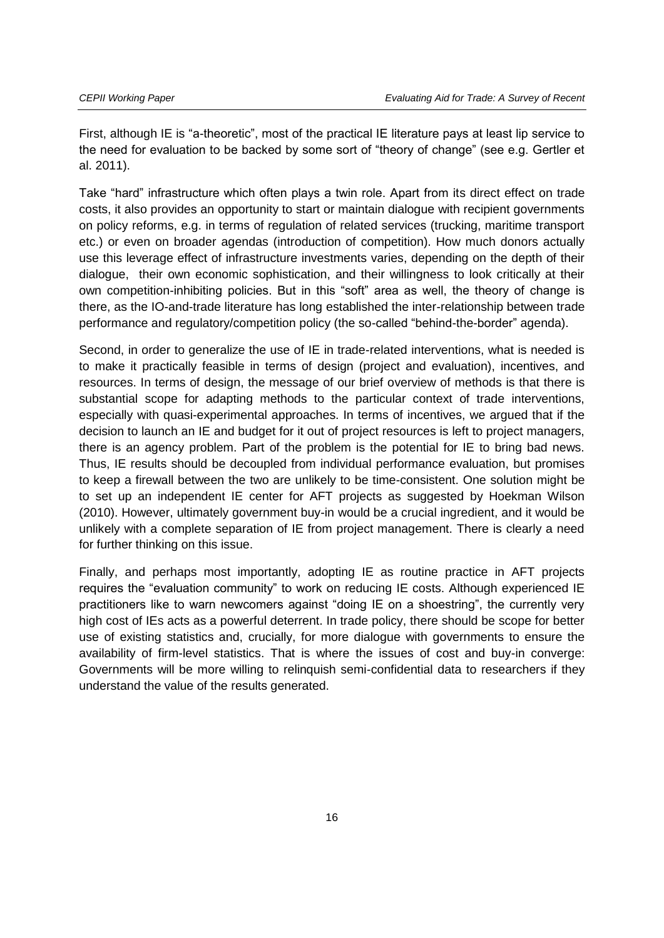First, although IE is "a-theoretic", most of the practical IE literature pays at least lip service to the need for evaluation to be backed by some sort of "theory of change" (see e.g. Gertler et al. 2011).

Take "hard" infrastructure which often plays a twin role. Apart from its direct effect on trade costs, it also provides an opportunity to start or maintain dialogue with recipient governments on policy reforms, e.g. in terms of regulation of related services (trucking, maritime transport etc.) or even on broader agendas (introduction of competition). How much donors actually use this leverage effect of infrastructure investments varies, depending on the depth of their dialogue, their own economic sophistication, and their willingness to look critically at their own competition-inhibiting policies. But in this "soft" area as well, the theory of change is there, as the IO-and-trade literature has long established the inter-relationship between trade performance and regulatory/competition policy (the so-called "behind-the-border" agenda).

Second, in order to generalize the use of IE in trade-related interventions, what is needed is to make it practically feasible in terms of design (project and evaluation), incentives, and resources. In terms of design, the message of our brief overview of methods is that there is substantial scope for adapting methods to the particular context of trade interventions, especially with quasi-experimental approaches. In terms of incentives, we argued that if the decision to launch an IE and budget for it out of project resources is left to project managers, there is an agency problem. Part of the problem is the potential for IE to bring bad news. Thus, IE results should be decoupled from individual performance evaluation, but promises to keep a firewall between the two are unlikely to be time-consistent. One solution might be to set up an independent IE center for AFT projects as suggested by Hoekman Wilson (2010). However, ultimately government buy-in would be a crucial ingredient, and it would be unlikely with a complete separation of IE from project management. There is clearly a need for further thinking on this issue.

Finally, and perhaps most importantly, adopting IE as routine practice in AFT projects requires the "evaluation community" to work on reducing IE costs. Although experienced IE practitioners like to warn newcomers against "doing IE on a shoestring", the currently very high cost of IEs acts as a powerful deterrent. In trade policy, there should be scope for better use of existing statistics and, crucially, for more dialogue with governments to ensure the availability of firm-level statistics. That is where the issues of cost and buy-in converge: Governments will be more willing to relinquish semi-confidential data to researchers if they understand the value of the results generated.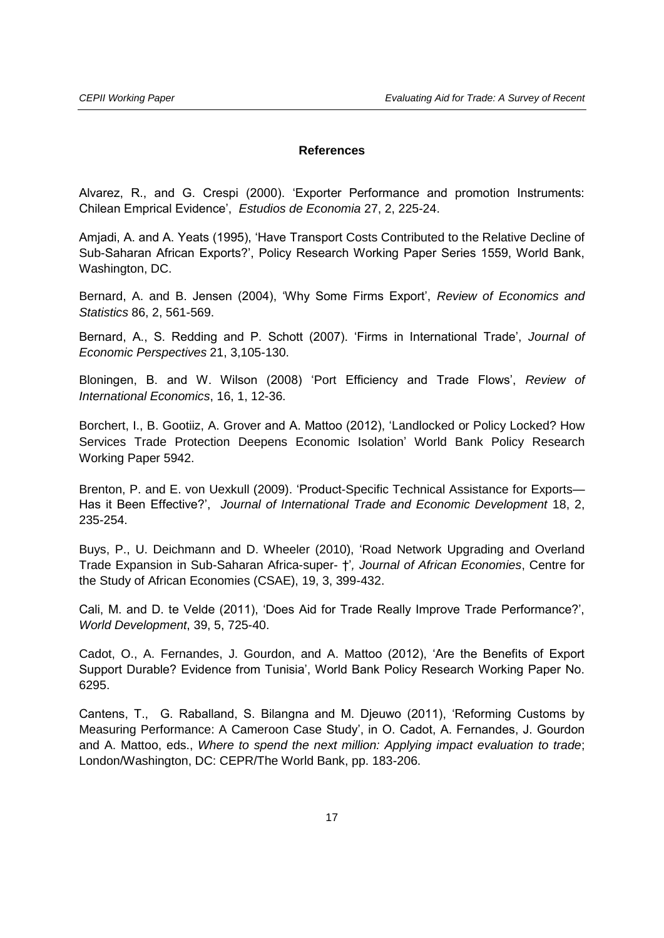#### **References**

Alvarez, R., and G. Crespi (2000). 'Exporter Performance and promotion Instruments: Chilean Emprical Evidence', *Estudios de Economia* 27, 2, 225-24.

Amjadi, A. and A. Yeats (1995), 'Have Transport Costs Contributed to the Relative Decline of Sub-Saharan African Exports?', Policy Research Working Paper Series 1559, World Bank, Washington, DC.

Bernard, A. and B. Jensen (2004), 'Why Some Firms Export', *Review of Economics and Statistics* 86, 2, 561-569.

Bernard, A., S. Redding and P. Schott (2007). 'Firms in International Trade', *Journal of Economic Perspectives* 21, 3,105-130.

Bloningen, B. and W. Wilson (2008) 'Port Efficiency and Trade Flows', *Review of International Economics*, 16, 1, 12-36.

Borchert, I., B. Gootiiz, A. Grover and A. Mattoo (2012), 'Landlocked or Policy Locked? How Services Trade Protection Deepens Economic Isolation' World Bank Policy Research Working Paper 5942.

Brenton, P. and E. von Uexkull (2009). 'Product-Specific Technical Assistance for Exports— Has it Been Effective?', *Journal of International Trade and Economic Development* 18, 2, 235-254.

Buys, P., U. Deichmann and D. Wheeler (2010), 'Road Network Upgrading and Overland Trade Expansion in Sub-Saharan Africa-super- †'*, Journal of African Economies*, Centre for the Study of African Economies (CSAE), 19, 3, 399-432.

Cali, M. and D. te Velde (2011), 'Does Aid for Trade Really Improve Trade Performance?', *World Development*, 39, 5, 725-40.

Cadot, O., A. Fernandes, J. Gourdon, and A. Mattoo (2012), 'Are the Benefits of Export Support Durable? Evidence from Tunisia', World Bank Policy Research Working Paper No. 6295.

Cantens, T., G. Raballand, S. Bilangna and M. Djeuwo (2011), 'Reforming Customs by Measuring Performance: A Cameroon Case Study', in O. Cadot, A. Fernandes, J. Gourdon and A. Mattoo, eds., *Where to spend the next million: Applying impact evaluation to trade*; London/Washington, DC: CEPR/The World Bank, pp. 183-206.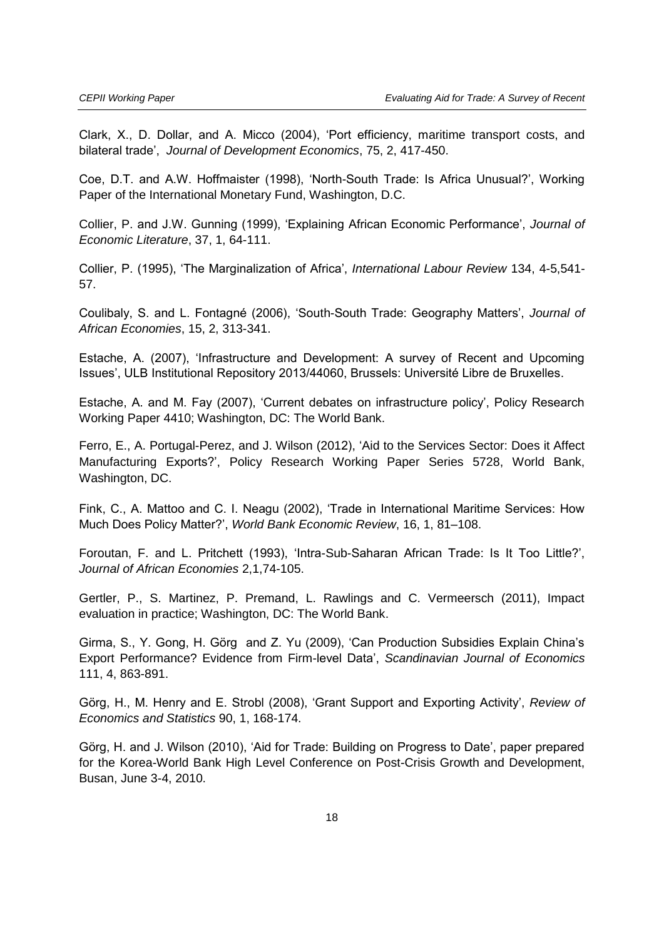Clark, X., D. Dollar, and A. Micco (2004), 'Port efficiency, maritime transport costs, and bilateral trade', *Journal of Development Economics*, 75, 2, 417-450.

Coe, D.T. and A.W. Hoffmaister (1998), 'North-South Trade: Is Africa Unusual?', Working Paper of the International Monetary Fund, Washington, D.C.

Collier, P. and J.W. Gunning (1999), 'Explaining African Economic Performance', *Journal of Economic Literature*, 37, 1, 64-111.

Collier, P. (1995), 'The Marginalization of Africa', *International Labour Review* 134, 4-5,541- 57.

Coulibaly, S. and L. Fontagné (2006), 'South-South Trade: Geography Matters', *Journal of African Economies*, 15, 2, 313-341.

Estache, A. (2007), 'Infrastructure and Development: A survey of Recent and Upcoming Issues', ULB Institutional Repository 2013/44060, Brussels: Université Libre de Bruxelles.

Estache, A. and M. Fay (2007), 'Current debates on infrastructure policy', Policy Research Working Paper 4410; Washington, DC: The World Bank.

Ferro, E., A. Portugal-Perez, and J. Wilson (2012), 'Aid to the Services Sector: Does it Affect Manufacturing Exports?', Policy Research Working Paper Series 5728, World Bank, Washington, DC.

Fink, C., A. Mattoo and C. I. Neagu (2002), 'Trade in International Maritime Services: How Much Does Policy Matter?', *World Bank Economic Review*, 16, 1, 81–108.

Foroutan, F. and L. Pritchett (1993), 'Intra-Sub-Saharan African Trade: Is It Too Little?', *Journal of African Economies* 2,1,74-105.

Gertler, P., S. Martinez, P. Premand, L. Rawlings and C. Vermeersch (2011), Impact evaluation in practice; Washington, DC: The World Bank.

Girma, S., Y. Gong, H. Görg and Z. Yu (2009), 'Can Production Subsidies Explain China's Export Performance? Evidence from Firm-level Data', *Scandinavian Journal of Economics* 111, 4, 863-891.

Görg, H., M. Henry and E. Strobl (2008), 'Grant Support and Exporting Activity', *Review of Economics and Statistics* 90, 1, 168-174.

Görg, H. and J. Wilson (2010), 'Aid for Trade: Building on Progress to Date', paper prepared for the Korea-World Bank High Level Conference on Post-Crisis Growth and Development, Busan, June 3-4, 2010.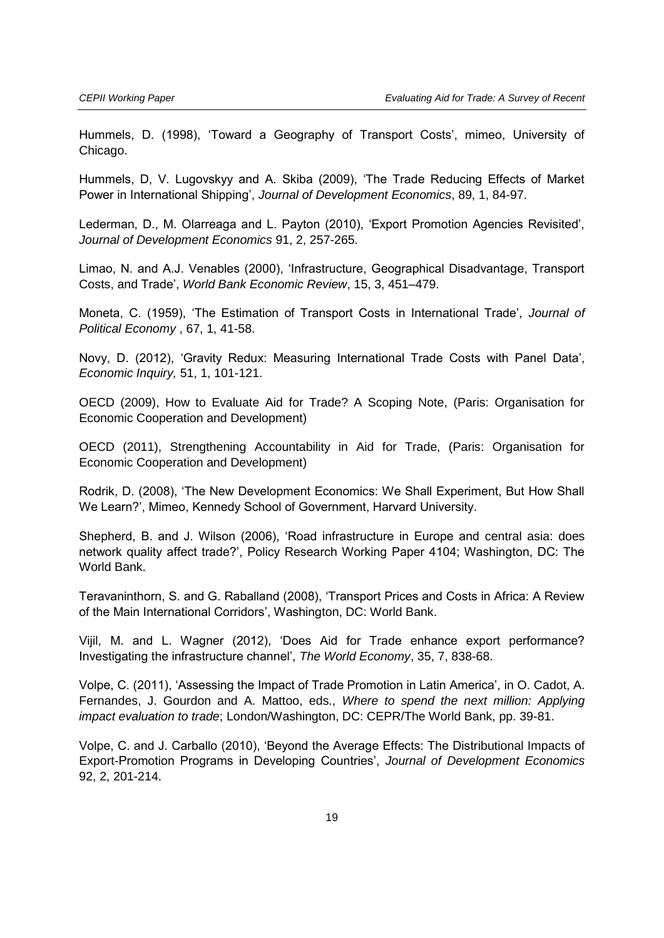Hummels, D. (1998), 'Toward a Geography of Transport Costs', mimeo, University of Chicago.

Hummels, D, V. Lugovskyy and A. Skiba (2009), 'The Trade Reducing Effects of Market Power in International Shipping', *Journal of Development Economics*, 89, 1, 84-97.

Lederman, D., M. Olarreaga and L. Payton (2010), 'Export Promotion Agencies Revisited', *Journal of Development Economics* 91, 2, 257-265.

Limao, N. and A.J. Venables (2000), 'Infrastructure, Geographical Disadvantage, Transport Costs, and Trade', *World Bank Economic Review*, 15, 3, 451–479.

Moneta, C. (1959), 'The Estimation of Transport Costs in International Trade', *Journal of Political Economy* , 67, 1, 41-58.

Novy, D. (2012), 'Gravity Redux: Measuring International Trade Costs with Panel Data', *Economic Inquiry,* 51, 1, 101-121.

OECD (2009), How to Evaluate Aid for Trade? A Scoping Note, (Paris: Organisation for Economic Cooperation and Development)

OECD (2011), Strengthening Accountability in Aid for Trade, (Paris: Organisation for Economic Cooperation and Development)

Rodrik, D. (2008), 'The New Development Economics: We Shall Experiment, But How Shall We Learn?', Mimeo, Kennedy School of Government, Harvard University.

Shepherd, B. and J. Wilson (2006), 'Road infrastructure in Europe and central asia: does network quality affect trade?', Policy Research Working Paper 4104; Washington, DC: The World Bank.

Teravaninthorn, S. and G. Raballand (2008), 'Transport Prices and Costs in Africa: A Review of the Main International Corridors', Washington, DC: World Bank.

Vijil, M. and L. Wagner (2012), 'Does Aid for Trade enhance export performance? Investigating the infrastructure channel', *The World Economy*, 35, 7, 838-68.

Volpe, C. (2011), 'Assessing the Impact of Trade Promotion in Latin America', in O. Cadot, A. Fernandes, J. Gourdon and A. Mattoo, eds., *Where to spend the next million: Applying impact evaluation to trade*; London/Washington, DC: CEPR/The World Bank, pp. 39-81.

Volpe, C. and J. Carballo (2010), 'Beyond the Average Effects: The Distributional Impacts of Export-Promotion Programs in Developing Countries', *Journal of Development Economics* 92, 2, 201-214.